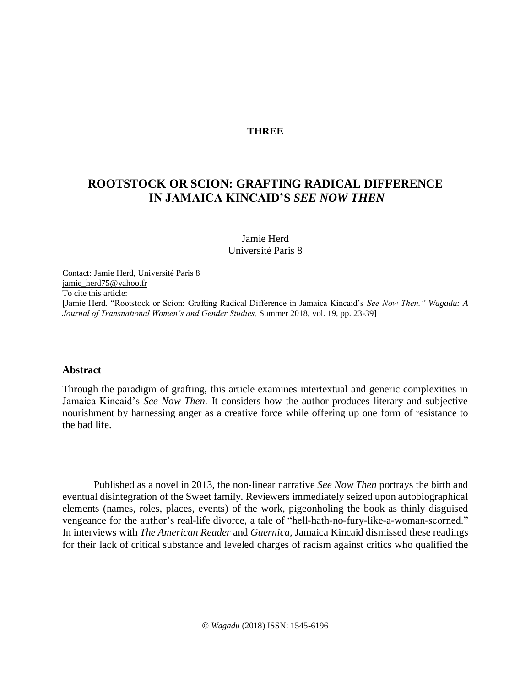# **THREE**

# **ROOTSTOCK OR SCION: GRAFTING RADICAL DIFFERENCE IN JAMAICA KINCAID'S** *SEE NOW THEN*

Jamie Herd Université Paris 8

Contact: Jamie Herd, Université Paris 8 [jamie\\_herd75@yahoo.fr](mailto:jamie_herd75@yahoo.fr) To cite this article: [Jamie Herd. "Rootstock or Scion: Grafting Radical Difference in Jamaica Kincaid's *See Now Then." Wagadu: A Journal of Transnational Women's and Gender Studies,* Summer 2018, vol. 19, pp. 23-39]

#### **Abstract**

Through the paradigm of grafting, this article examines intertextual and generic complexities in Jamaica Kincaid's *See Now Then.* It considers how the author produces literary and subjective nourishment by harnessing anger as a creative force while offering up one form of resistance to the bad life.

Published as a novel in 2013, the non-linear narrative *See Now Then* portrays the birth and eventual disintegration of the Sweet family. Reviewers immediately seized upon autobiographical elements (names, roles, places, events) of the work, pigeonholing the book as thinly disguised vengeance for the author's real-life divorce, a tale of "hell-hath-no-fury-like-a-woman-scorned." In interviews with *The American Reader* and *Guernica*, Jamaica Kincaid dismissed these readings for their lack of critical substance and leveled charges of racism against critics who qualified the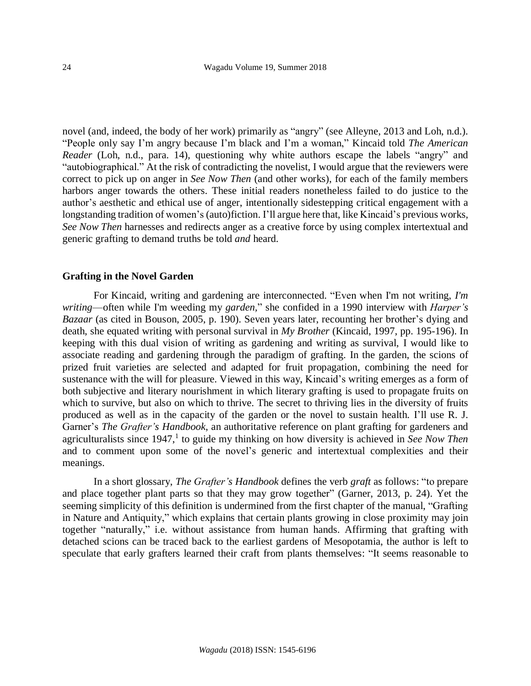novel (and, indeed, the body of her work) primarily as "angry" (see Alleyne, 2013 and Loh, n.d.). "People only say I'm angry because I'm black and I'm a woman," Kincaid told *The American Reader* (Loh, n.d., para. 14)*,* questioning why white authors escape the labels "angry" and "autobiographical." At the risk of contradicting the novelist, I would argue that the reviewers were correct to pick up on anger in *See Now Then* (and other works), for each of the family members harbors anger towards the others. These initial readers nonetheless failed to do justice to the author's aesthetic and ethical use of anger, intentionally sidestepping critical engagement with a longstanding tradition of women's (auto)fiction. I'll argue here that, like Kincaid's previous works, *See Now Then* harnesses and redirects anger as a creative force by using complex intertextual and generic grafting to demand truths be told *and* heard.

## **Grafting in the Novel Garden**

For Kincaid, writing and gardening are interconnected. "Even when I'm not writing, *I'm writing*—often while I'm weeding my *garden,*" she confided in a 1990 interview with *Harper's Bazaar* (as cited in Bouson, 2005, p. 190). Seven years later, recounting her brother's dying and death, she equated writing with personal survival in *My Brother* (Kincaid, 1997, pp. 195-196). In keeping with this dual vision of writing as gardening and writing as survival, I would like to associate reading and gardening through the paradigm of grafting. In the garden, the scions of prized fruit varieties are selected and adapted for fruit propagation, combining the need for sustenance with the will for pleasure. Viewed in this way, Kincaid's writing emerges as a form of both subjective and literary nourishment in which literary grafting is used to propagate fruits on which to survive, but also on which to thrive. The secret to thriving lies in the diversity of fruits produced as well as in the capacity of the garden or the novel to sustain health. I'll use R. J. Garner's *The Grafter's Handbook*, an authoritative reference on plant grafting for gardeners and agriculturalists since 1947,<sup>1</sup> to guide my thinking on how diversity is achieved in *See Now Then* and to comment upon some of the novel's generic and intertextual complexities and their meanings.

In a short glossary, *The Grafter's Handbook* defines the verb *graft* as follows: "to prepare and place together plant parts so that they may grow together" (Garner, 2013, p. 24). Yet the seeming simplicity of this definition is undermined from the first chapter of the manual, "Grafting in Nature and Antiquity," which explains that certain plants growing in close proximity may join together "naturally," i.e. without assistance from human hands. Affirming that grafting with detached scions can be traced back to the earliest gardens of Mesopotamia, the author is left to speculate that early grafters learned their craft from plants themselves: "It seems reasonable to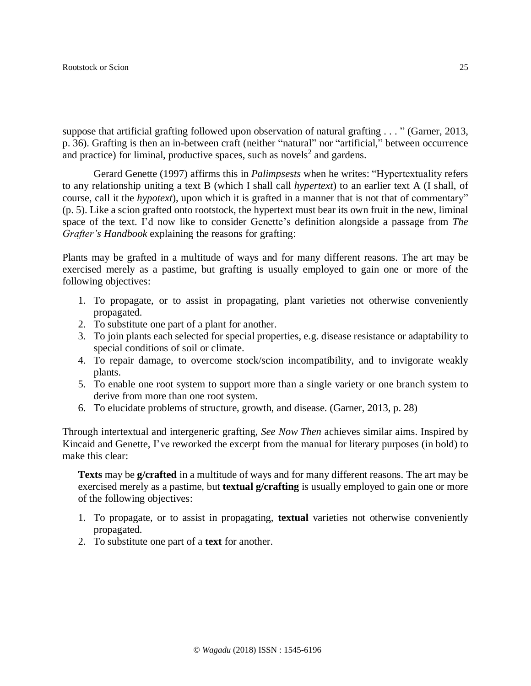suppose that artificial grafting followed upon observation of natural grafting . . . " (Garner, 2013, p. 36). Grafting is then an in-between craft (neither "natural" nor "artificial," between occurrence and practice) for liminal, productive spaces, such as novels<sup>2</sup> and gardens.

Gerard Genette (1997) affirms this in *Palimpsests* when he writes: "Hypertextuality refers to any relationship uniting a text B (which I shall call *hypertext*) to an earlier text A (I shall, of course, call it the *hypotext*), upon which it is grafted in a manner that is not that of commentary" (p. 5). Like a scion grafted onto rootstock, the hypertext must bear its own fruit in the new, liminal space of the text. I'd now like to consider Genette's definition alongside a passage from *The Grafter's Handbook* explaining the reasons for grafting:

Plants may be grafted in a multitude of ways and for many different reasons. The art may be exercised merely as a pastime, but grafting is usually employed to gain one or more of the following objectives:

- 1. To propagate, or to assist in propagating, plant varieties not otherwise conveniently propagated.
- 2. To substitute one part of a plant for another.
- 3. To join plants each selected for special properties, e.g. disease resistance or adaptability to special conditions of soil or climate.
- 4. To repair damage, to overcome stock/scion incompatibility, and to invigorate weakly plants.
- 5. To enable one root system to support more than a single variety or one branch system to derive from more than one root system.
- 6. To elucidate problems of structure, growth, and disease. (Garner, 2013, p. 28)

Through intertextual and intergeneric grafting, *See Now Then* achieves similar aims. Inspired by Kincaid and Genette, I've reworked the excerpt from the manual for literary purposes (in bold) to make this clear:

**Texts** may be **g/crafted** in a multitude of ways and for many different reasons. The art may be exercised merely as a pastime, but **textual g/crafting** is usually employed to gain one or more of the following objectives:

- 1. To propagate, or to assist in propagating, **textual** varieties not otherwise conveniently propagated.
- 2. To substitute one part of a **text** for another.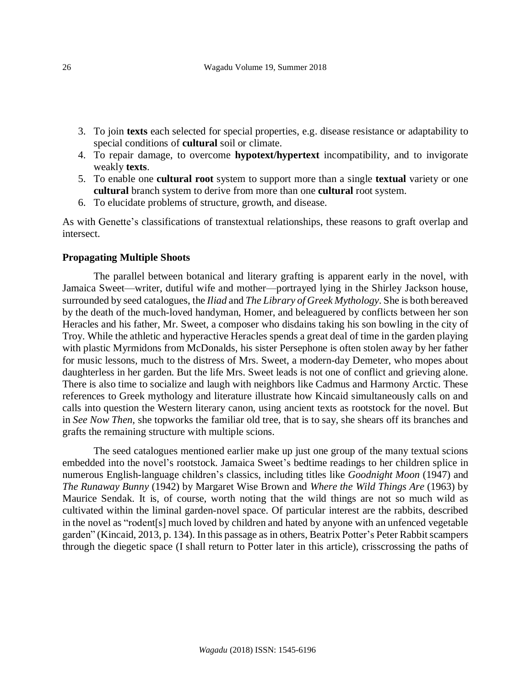- 3. To join **texts** each selected for special properties, e.g. disease resistance or adaptability to special conditions of **cultural** soil or climate.
- 4. To repair damage, to overcome **hypotext/hypertext** incompatibility, and to invigorate weakly **texts**.
- 5. To enable one **cultural root** system to support more than a single **textual** variety or one **cultural** branch system to derive from more than one **cultural** root system.
- 6. To elucidate problems of structure, growth, and disease.

As with Genette's classifications of transtextual relationships, these reasons to graft overlap and intersect.

# **Propagating Multiple Shoots**

The parallel between botanical and literary grafting is apparent early in the novel, with Jamaica Sweet—writer, dutiful wife and mother—portrayed lying in the Shirley Jackson house, surrounded by seed catalogues, the *Iliad* and *The Library of Greek Mythology*. She is both bereaved by the death of the much-loved handyman, Homer, and beleaguered by conflicts between her son Heracles and his father, Mr. Sweet, a composer who disdains taking his son bowling in the city of Troy. While the athletic and hyperactive Heracles spends a great deal of time in the garden playing with plastic Myrmidons from McDonalds, his sister Persephone is often stolen away by her father for music lessons, much to the distress of Mrs. Sweet, a modern-day Demeter, who mopes about daughterless in her garden. But the life Mrs. Sweet leads is not one of conflict and grieving alone. There is also time to socialize and laugh with neighbors like Cadmus and Harmony Arctic. These references to Greek mythology and literature illustrate how Kincaid simultaneously calls on and calls into question the Western literary canon, using ancient texts as rootstock for the novel. But in *See Now Then,* she topworks the familiar old tree, that is to say, she shears off its branches and grafts the remaining structure with multiple scions.

The seed catalogues mentioned earlier make up just one group of the many textual scions embedded into the novel's rootstock. Jamaica Sweet's bedtime readings to her children splice in numerous English-language children's classics, including titles like *Goodnight Moon* (1947) and *The Runaway Bunny* (1942) by Margaret Wise Brown and *Where the Wild Things Are* (1963) by Maurice Sendak. It is, of course, worth noting that the wild things are not so much wild as cultivated within the liminal garden-novel space. Of particular interest are the rabbits, described in the novel as "rodent[s] much loved by children and hated by anyone with an unfenced vegetable garden" (Kincaid, 2013, p. 134). In this passage as in others, Beatrix Potter's Peter Rabbit scampers through the diegetic space (I shall return to Potter later in this article), crisscrossing the paths of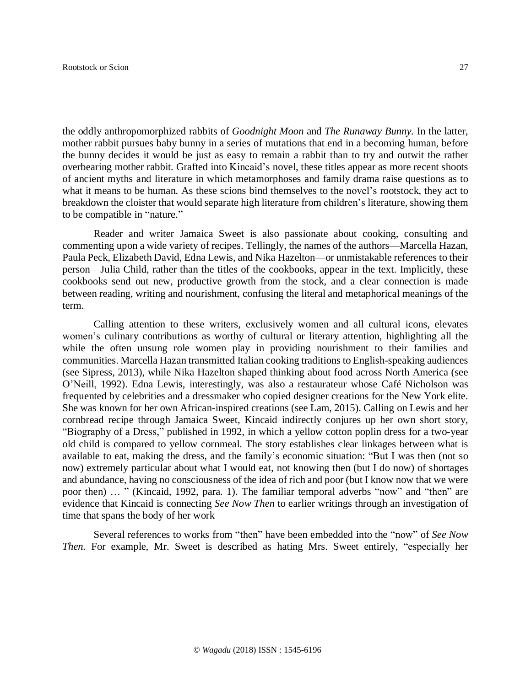the oddly anthropomorphized rabbits of *Goodnight Moon* and *The Runaway Bunny.* In the latter, mother rabbit pursues baby bunny in a series of mutations that end in a becoming human, before the bunny decides it would be just as easy to remain a rabbit than to try and outwit the rather overbearing mother rabbit. Grafted into Kincaid's novel, these titles appear as more recent shoots of ancient myths and literature in which metamorphoses and family drama raise questions as to what it means to be human. As these scions bind themselves to the novel's rootstock, they act to breakdown the cloister that would separate high literature from children's literature, showing them to be compatible in "nature."

Reader and writer Jamaica Sweet is also passionate about cooking, consulting and commenting upon a wide variety of recipes. Tellingly, the names of the authors—Marcella Hazan, Paula Peck, Elizabeth David, Edna Lewis, and Nika Hazelton—or unmistakable references to their person—Julia Child, rather than the titles of the cookbooks, appear in the text. Implicitly, these cookbooks send out new, productive growth from the stock, and a clear connection is made between reading, writing and nourishment, confusing the literal and metaphorical meanings of the term.

Calling attention to these writers, exclusively women and all cultural icons, elevates women's culinary contributions as worthy of cultural or literary attention, highlighting all the while the often unsung role women play in providing nourishment to their families and communities. Marcella Hazan transmitted Italian cooking traditions to English-speaking audiences (see Sipress, 2013), while Nika Hazelton shaped thinking about food across North America (see O'Neill, 1992). Edna Lewis, interestingly, was also a restaurateur whose Café Nicholson was frequented by celebrities and a dressmaker who copied designer creations for the New York elite. She was known for her own African-inspired creations (see Lam, 2015). Calling on Lewis and her cornbread recipe through Jamaica Sweet, Kincaid indirectly conjures up her own short story, "Biography of a Dress," published in 1992, in which a yellow cotton poplin dress for a two-year old child is compared to yellow cornmeal. The story establishes clear linkages between what is available to eat, making the dress, and the family's economic situation: "But I was then (not so now) extremely particular about what I would eat, not knowing then (but I do now) of shortages and abundance, having no consciousness of the idea of rich and poor (but I know now that we were poor then) … " (Kincaid, 1992, para. 1). The familiar temporal adverbs "now" and "then" are evidence that Kincaid is connecting *See Now Then* to earlier writings through an investigation of time that spans the body of her work

Several references to works from "then" have been embedded into the "now" of *See Now Then.* For example, Mr. Sweet is described as hating Mrs. Sweet entirely, "especially her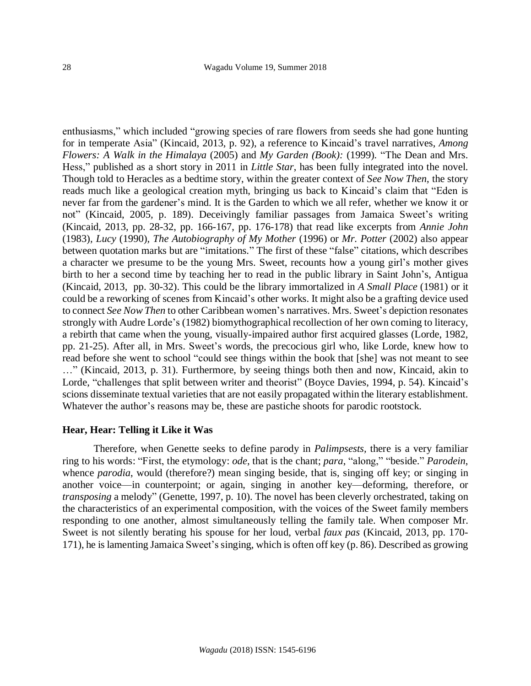enthusiasms," which included "growing species of rare flowers from seeds she had gone hunting for in temperate Asia" (Kincaid, 2013, p. 92), a reference to Kincaid's travel narratives, *Among Flowers: A Walk in the Himalaya* (2005) and *My Garden (Book):* (1999)*.* "The Dean and Mrs. Hess," published as a short story in 2011 in *Little Star*, has been fully integrated into the novel. Though told to Heracles as a bedtime story, within the greater context of *See Now Then*, the story reads much like a geological creation myth, bringing us back to Kincaid's claim that "Eden is never far from the gardener's mind. It is the Garden to which we all refer, whether we know it or not" (Kincaid, 2005*,* p. 189). Deceivingly familiar passages from Jamaica Sweet's writing (Kincaid, 2013, pp. 28-32, pp. 166-167, pp. 176-178) that read like excerpts from *Annie John* (1983)*, Lucy* (1990)*, The Autobiography of My Mother* (1996) or *Mr. Potter* (2002) also appear between quotation marks but are "imitations." The first of these "false" citations, which describes a character we presume to be the young Mrs. Sweet, recounts how a young girl's mother gives birth to her a second time by teaching her to read in the public library in Saint John's, Antigua (Kincaid, 2013, pp. 30-32). This could be the library immortalized in *A Small Place* (1981) or it could be a reworking of scenes from Kincaid's other works. It might also be a grafting device used to connect *See Now Then* to other Caribbean women's narratives. Mrs. Sweet's depiction resonates strongly with Audre Lorde's (1982) biomythographical recollection of her own coming to literacy, a rebirth that came when the young, visually-impaired author first acquired glasses (Lorde, 1982*,* pp. 21-25). After all, in Mrs. Sweet's words, the precocious girl who, like Lorde, knew how to read before she went to school "could see things within the book that [she] was not meant to see …" (Kincaid, 2013, p. 31). Furthermore, by seeing things both then and now, Kincaid, akin to Lorde, "challenges that split between writer and theorist" (Boyce Davies, 1994, p. 54). Kincaid's scions disseminate textual varieties that are not easily propagated within the literary establishment. Whatever the author's reasons may be, these are pastiche shoots for parodic rootstock.

#### **Hear, Hear: Telling it Like it Was**

Therefore, when Genette seeks to define parody in *Palimpsests,* there is a very familiar ring to his words: "First, the etymology: *ode*, that is the chant; *para*, "along," "beside." *Parodein*, whence *parodia*, would (therefore?) mean singing beside, that is, singing off key; or singing in another voice—in counterpoint; or again, singing in another key—deforming, therefore, or *transposing* a melody" (Genette, 1997, p. 10). The novel has been cleverly orchestrated, taking on the characteristics of an experimental composition, with the voices of the Sweet family members responding to one another, almost simultaneously telling the family tale. When composer Mr. Sweet is not silently berating his spouse for her loud, verbal *faux pas* (Kincaid, 2013, pp. 170- 171), he is lamenting Jamaica Sweet's singing, which is often off key (p. 86). Described as growing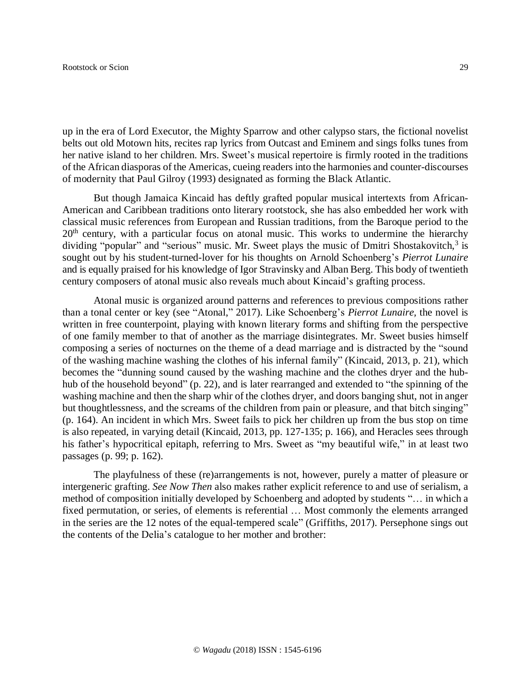up in the era of Lord Executor, the Mighty Sparrow and other calypso stars, the fictional novelist belts out old Motown hits, recites rap lyrics from Outcast and Eminem and sings folks tunes from her native island to her children. Mrs. Sweet's musical repertoire is firmly rooted in the traditions of the African diasporas of the Americas, cueing readers into the harmonies and counter-discourses of modernity that Paul Gilroy (1993) designated as forming the Black Atlantic.

But though Jamaica Kincaid has deftly grafted popular musical intertexts from African-American and Caribbean traditions onto literary rootstock, she has also embedded her work with classical music references from European and Russian traditions, from the Baroque period to the  $20<sup>th</sup>$  century, with a particular focus on atonal music. This works to undermine the hierarchy dividing "popular" and "serious" music. Mr. Sweet plays the music of Dmitri Shostakovitch,<sup>3</sup> is sought out by his student-turned-lover for his thoughts on Arnold Schoenberg's *Pierrot Lunaire* and is equally praised for his knowledge of Igor Stravinsky and Alban Berg. This body of twentieth century composers of atonal music also reveals much about Kincaid's grafting process.

Atonal music is organized around patterns and references to previous compositions rather than a tonal center or key (see "Atonal," 2017). Like Schoenberg's *Pierrot Lunaire,* the novel is written in free counterpoint, playing with known literary forms and shifting from the perspective of one family member to that of another as the marriage disintegrates. Mr. Sweet busies himself composing a series of nocturnes on the theme of a dead marriage and is distracted by the "sound of the washing machine washing the clothes of his infernal family" (Kincaid, 2013, p. 21), which becomes the "dunning sound caused by the washing machine and the clothes dryer and the hubhub of the household beyond" (p. 22), and is later rearranged and extended to "the spinning of the washing machine and then the sharp whir of the clothes dryer, and doors banging shut, not in anger but thoughtlessness, and the screams of the children from pain or pleasure, and that bitch singing" (p. 164). An incident in which Mrs. Sweet fails to pick her children up from the bus stop on time is also repeated, in varying detail (Kincaid, 2013, pp. 127-135; p. 166), and Heracles sees through his father's hypocritical epitaph, referring to Mrs. Sweet as "my beautiful wife," in at least two passages (p. 99; p. 162).

The playfulness of these (re)arrangements is not, however, purely a matter of pleasure or intergeneric grafting. *See Now Then* also makes rather explicit reference to and use of serialism, a method of composition initially developed by Schoenberg and adopted by students "… in which a fixed permutation, or series, of elements is referential … Most commonly the elements arranged in the series are the 12 notes of the equal-tempered scale" (Griffiths, 2017). Persephone sings out the contents of the Delia's catalogue to her mother and brother: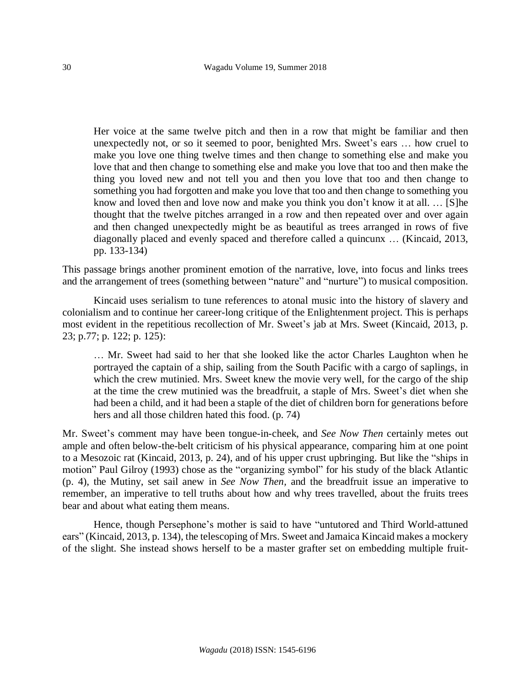Her voice at the same twelve pitch and then in a row that might be familiar and then unexpectedly not, or so it seemed to poor, benighted Mrs. Sweet's ears … how cruel to make you love one thing twelve times and then change to something else and make you love that and then change to something else and make you love that too and then make the thing you loved new and not tell you and then you love that too and then change to something you had forgotten and make you love that too and then change to something you know and loved then and love now and make you think you don't know it at all. … [S]he thought that the twelve pitches arranged in a row and then repeated over and over again and then changed unexpectedly might be as beautiful as trees arranged in rows of five diagonally placed and evenly spaced and therefore called a quincunx … (Kincaid, 2013, pp. 133-134)

This passage brings another prominent emotion of the narrative, love, into focus and links trees and the arrangement of trees (something between "nature" and "nurture") to musical composition.

Kincaid uses serialism to tune references to atonal music into the history of slavery and colonialism and to continue her career-long critique of the Enlightenment project. This is perhaps most evident in the repetitious recollection of Mr. Sweet's jab at Mrs. Sweet (Kincaid, 2013, p. 23; p.77; p. 122; p. 125):

… Mr. Sweet had said to her that she looked like the actor Charles Laughton when he portrayed the captain of a ship, sailing from the South Pacific with a cargo of saplings, in which the crew mutinied. Mrs. Sweet knew the movie very well, for the cargo of the ship at the time the crew mutinied was the breadfruit, a staple of Mrs. Sweet's diet when she had been a child, and it had been a staple of the diet of children born for generations before hers and all those children hated this food. (p. 74)

Mr. Sweet's comment may have been tongue-in-cheek, and *See Now Then* certainly metes out ample and often below-the-belt criticism of his physical appearance, comparing him at one point to a Mesozoic rat (Kincaid, 2013, p. 24), and of his upper crust upbringing. But like the "ships in motion" Paul Gilroy (1993) chose as the "organizing symbol" for his study of the black Atlantic (p. 4), the Mutiny, set sail anew in *See Now Then,* and the breadfruit issue an imperative to remember, an imperative to tell truths about how and why trees travelled, about the fruits trees bear and about what eating them means.

Hence, though Persephone's mother is said to have "untutored and Third World-attuned ears" (Kincaid, 2013, p. 134), the telescoping of Mrs. Sweet and Jamaica Kincaid makes a mockery of the slight. She instead shows herself to be a master grafter set on embedding multiple fruit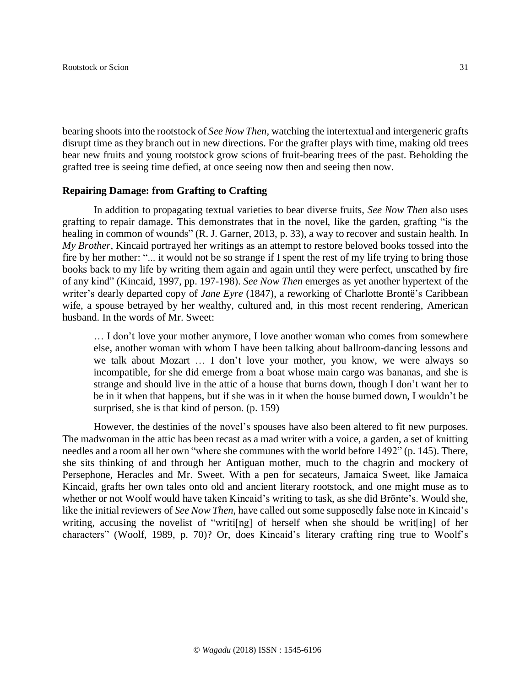bearing shoots into the rootstock of *See Now Then,* watching the intertextual and intergeneric grafts disrupt time as they branch out in new directions. For the grafter plays with time, making old trees bear new fruits and young rootstock grow scions of fruit-bearing trees of the past. Beholding the grafted tree is seeing time defied, at once seeing now then and seeing then now.

#### **Repairing Damage: from Grafting to Crafting**

In addition to propagating textual varieties to bear diverse fruits, *See Now Then* also uses grafting to repair damage. This demonstrates that in the novel, like the garden, grafting "is the healing in common of wounds" (R. J. Garner, 2013, p. 33), a way to recover and sustain health. In *My Brother*, Kincaid portrayed her writings as an attempt to restore beloved books tossed into the fire by her mother: "... it would not be so strange if I spent the rest of my life trying to bring those books back to my life by writing them again and again until they were perfect, unscathed by fire of any kind" (Kincaid, 1997, pp. 197-198). *See Now Then* emerges as yet another hypertext of the writer's dearly departed copy of *Jane Eyre* (1847), a reworking of Charlotte Brontë's Caribbean wife, a spouse betrayed by her wealthy, cultured and, in this most recent rendering, American husband. In the words of Mr. Sweet:

… I don't love your mother anymore, I love another woman who comes from somewhere else, another woman with whom I have been talking about ballroom-dancing lessons and we talk about Mozart … I don't love your mother, you know, we were always so incompatible, for she did emerge from a boat whose main cargo was bananas, and she is strange and should live in the attic of a house that burns down, though I don't want her to be in it when that happens, but if she was in it when the house burned down, I wouldn't be surprised, she is that kind of person. (p. 159)

However, the destinies of the novel's spouses have also been altered to fit new purposes. The madwoman in the attic has been recast as a mad writer with a voice, a garden, a set of knitting needles and a room all her own "where she communes with the world before 1492" (p. 145). There, she sits thinking of and through her Antiguan mother, much to the chagrin and mockery of Persephone, Heracles and Mr. Sweet. With a pen for secateurs, Jamaica Sweet, like Jamaica Kincaid, grafts her own tales onto old and ancient literary rootstock, and one might muse as to whether or not Woolf would have taken Kincaid's writing to task, as she did Brönte's. Would she, like the initial reviewers of *See Now Then*, have called out some supposedly false note in Kincaid's writing, accusing the novelist of "writi[ng] of herself when she should be writ[ing] of her characters" (Woolf, 1989, p. 70)? Or, does Kincaid's literary crafting ring true to Woolf's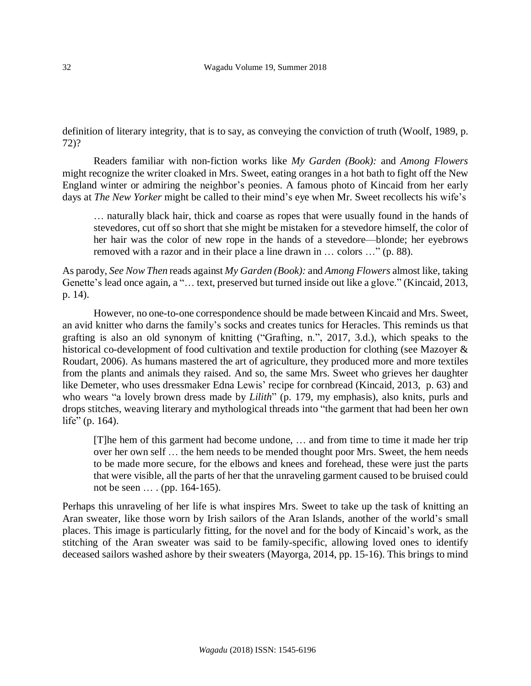definition of literary integrity, that is to say, as conveying the conviction of truth (Woolf, 1989, p. 72)?

Readers familiar with non-fiction works like *My Garden (Book):* and *Among Flowers* might recognize the writer cloaked in Mrs. Sweet, eating oranges in a hot bath to fight off the New England winter or admiring the neighbor's peonies. A famous photo of Kincaid from her early days at *The New Yorker* might be called to their mind's eye when Mr. Sweet recollects his wife's

… naturally black hair, thick and coarse as ropes that were usually found in the hands of stevedores, cut off so short that she might be mistaken for a stevedore himself, the color of her hair was the color of new rope in the hands of a stevedore—blonde; her eyebrows removed with a razor and in their place a line drawn in … colors …" (p. 88).

As parody, *See Now Then* reads against *My Garden (Book):* and *Among Flowers* almost like, taking Genette's lead once again, a "... text, preserved but turned inside out like a glove." (Kincaid, 2013, p. 14).

However, no one-to-one correspondence should be made between Kincaid and Mrs. Sweet, an avid knitter who darns the family's socks and creates tunics for Heracles. This reminds us that grafting is also an old synonym of knitting ("Grafting, n.", 2017, 3.d.), which speaks to the historical co-development of food cultivation and textile production for clothing (see Mazoyer & Roudart, 2006). As humans mastered the art of agriculture, they produced more and more textiles from the plants and animals they raised. And so, the same Mrs. Sweet who grieves her daughter like Demeter, who uses dressmaker Edna Lewis' recipe for cornbread (Kincaid, 2013, p. 63) and who wears "a lovely brown dress made by *Lilith*" (p. 179, my emphasis), also knits, purls and drops stitches, weaving literary and mythological threads into "the garment that had been her own life" (p. 164).

[T]he hem of this garment had become undone, … and from time to time it made her trip over her own self … the hem needs to be mended thought poor Mrs. Sweet, the hem needs to be made more secure, for the elbows and knees and forehead, these were just the parts that were visible, all the parts of her that the unraveling garment caused to be bruised could not be seen … . (pp. 164-165).

Perhaps this unraveling of her life is what inspires Mrs. Sweet to take up the task of knitting an Aran sweater, like those worn by Irish sailors of the Aran Islands, another of the world's small places. This image is particularly fitting, for the novel and for the body of Kincaid's work, as the stitching of the Aran sweater was said to be family-specific, allowing loved ones to identify deceased sailors washed ashore by their sweaters (Mayorga, 2014, pp. 15-16). This brings to mind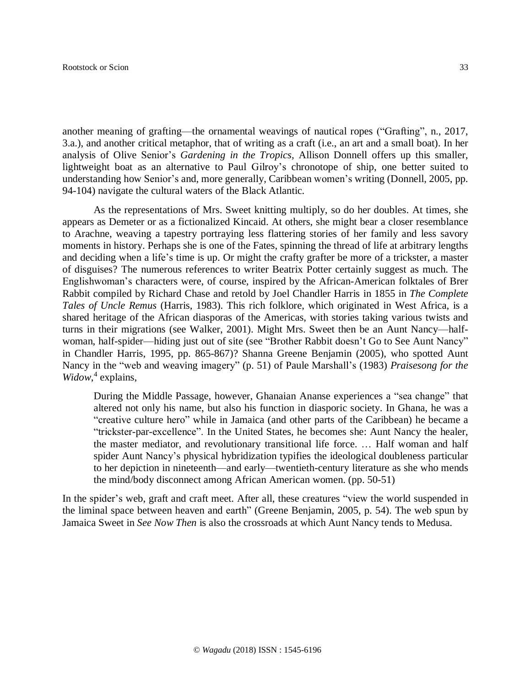#### Rootstock or Scion 33

another meaning of grafting—the ornamental weavings of nautical ropes ("Grafting", n., 2017, 3.a.), and another critical metaphor, that of writing as a craft (i.e., an art and a small boat). In her analysis of Olive Senior's *Gardening in the Tropics,* Allison Donnell offers up this smaller, lightweight boat as an alternative to Paul Gilroy's chronotope of ship, one better suited to understanding how Senior's and, more generally, Caribbean women's writing (Donnell, 2005, pp. 94-104) navigate the cultural waters of the Black Atlantic.

As the representations of Mrs. Sweet knitting multiply, so do her doubles. At times, she appears as Demeter or as a fictionalized Kincaid. At others, she might bear a closer resemblance to Arachne, weaving a tapestry portraying less flattering stories of her family and less savory moments in history. Perhaps she is one of the Fates, spinning the thread of life at arbitrary lengths and deciding when a life's time is up. Or might the crafty grafter be more of a trickster, a master of disguises? The numerous references to writer Beatrix Potter certainly suggest as much. The Englishwoman's characters were, of course, inspired by the African-American folktales of Brer Rabbit compiled by Richard Chase and retold by Joel Chandler Harris in 1855 in *The Complete Tales of Uncle Remus* (Harris, 1983). This rich folklore, which originated in West Africa, is a shared heritage of the African diasporas of the Americas, with stories taking various twists and turns in their migrations (see Walker, 2001). Might Mrs. Sweet then be an Aunt Nancy—halfwoman, half-spider—hiding just out of site (see "Brother Rabbit doesn't Go to See Aunt Nancy" in Chandler Harris, 1995, pp. 865-867)? Shanna Greene Benjamin (2005), who spotted Aunt Nancy in the "web and weaving imagery" (p. 51) of Paule Marshall's (1983) *Praisesong for the Widow*, 4 explains,

During the Middle Passage, however, Ghanaian Ananse experiences a "sea change" that altered not only his name, but also his function in diasporic society. In Ghana, he was a "creative culture hero" while in Jamaica (and other parts of the Caribbean) he became a "trickster-par-excellence". In the United States, he becomes she: Aunt Nancy the healer, the master mediator, and revolutionary transitional life force. … Half woman and half spider Aunt Nancy's physical hybridization typifies the ideological doubleness particular to her depiction in nineteenth—and early—twentieth-century literature as she who mends the mind/body disconnect among African American women. (pp. 50-51)

In the spider's web, graft and craft meet. After all, these creatures "view the world suspended in the liminal space between heaven and earth" (Greene Benjamin, 2005, p. 54). The web spun by Jamaica Sweet in *See Now Then* is also the crossroads at which Aunt Nancy tends to Medusa.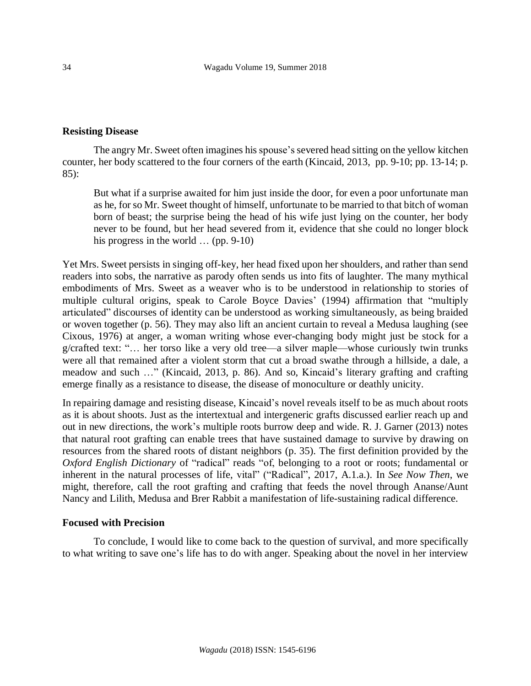# **Resisting Disease**

The angry Mr. Sweet often imagines hisspouse's severed head sitting on the yellow kitchen counter, her body scattered to the four corners of the earth (Kincaid, 2013, pp. 9-10; pp. 13-14; p. 85):

But what if a surprise awaited for him just inside the door, for even a poor unfortunate man as he, for so Mr. Sweet thought of himself, unfortunate to be married to that bitch of woman born of beast; the surprise being the head of his wife just lying on the counter, her body never to be found, but her head severed from it, evidence that she could no longer block his progress in the world  $\ldots$  (pp. 9-10)

Yet Mrs. Sweet persists in singing off-key, her head fixed upon her shoulders, and rather than send readers into sobs, the narrative as parody often sends us into fits of laughter. The many mythical embodiments of Mrs. Sweet as a weaver who is to be understood in relationship to stories of multiple cultural origins, speak to Carole Boyce Davies' (1994) affirmation that "multiply articulated" discourses of identity can be understood as working simultaneously, as being braided or woven together (p. 56). They may also lift an ancient curtain to reveal a Medusa laughing (see Cixous, 1976) at anger, a woman writing whose ever-changing body might just be stock for a g/crafted text: "… her torso like a very old tree—a silver maple—whose curiously twin trunks were all that remained after a violent storm that cut a broad swathe through a hillside, a dale, a meadow and such …" (Kincaid, 2013, p. 86). And so, Kincaid's literary grafting and crafting emerge finally as a resistance to disease, the disease of monoculture or deathly unicity.

In repairing damage and resisting disease, Kincaid's novel reveals itself to be as much about roots as it is about shoots. Just as the intertextual and intergeneric grafts discussed earlier reach up and out in new directions, the work's multiple roots burrow deep and wide. R. J. Garner (2013) notes that natural root grafting can enable trees that have sustained damage to survive by drawing on resources from the shared roots of distant neighbors (p. 35). The first definition provided by the *Oxford English Dictionary* of "radical" reads "of, belonging to a root or roots; fundamental or inherent in the natural processes of life, vital" ("Radical", 2017, A.1.a.). In *See Now Then*, we might, therefore, call the root grafting and crafting that feeds the novel through Ananse/Aunt Nancy and Lilith, Medusa and Brer Rabbit a manifestation of life-sustaining radical difference.

#### **Focused with Precision**

To conclude, I would like to come back to the question of survival, and more specifically to what writing to save one's life has to do with anger. Speaking about the novel in her interview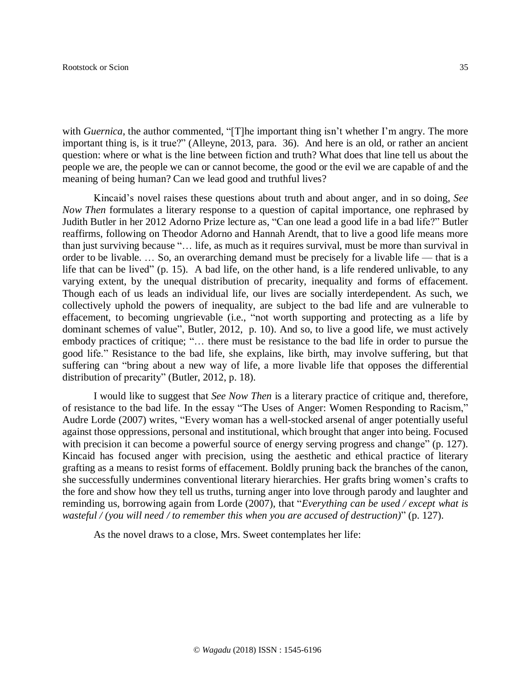with *Guernica*, the author commented, "[T]he important thing isn't whether I'm angry. The more important thing is, is it true?" (Alleyne, 2013, para. 36). And here is an old, or rather an ancient question: where or what is the line between fiction and truth? What does that line tell us about the people we are, the people we can or cannot become, the good or the evil we are capable of and the meaning of being human? Can we lead good and truthful lives?

Kincaid's novel raises these questions about truth and about anger, and in so doing, *See Now Then* formulates a literary response to a question of capital importance, one rephrased by Judith Butler in her 2012 Adorno Prize lecture as, "Can one lead a good life in a bad life?" Butler reaffirms, following on Theodor Adorno and Hannah Arendt, that to live a good life means more than just surviving because "… life, as much as it requires survival, must be more than survival in order to be livable. … So, an overarching demand must be precisely for a livable life — that is a life that can be lived" (p. 15). A bad life, on the other hand, is a life rendered unlivable, to any varying extent, by the unequal distribution of precarity, inequality and forms of effacement. Though each of us leads an individual life, our lives are socially interdependent. As such, we collectively uphold the powers of inequality, are subject to the bad life and are vulnerable to effacement, to becoming ungrievable (i.e., "not worth supporting and protecting as a life by dominant schemes of value", Butler, 2012, p. 10). And so, to live a good life, we must actively embody practices of critique; "… there must be resistance to the bad life in order to pursue the good life." Resistance to the bad life, she explains, like birth, may involve suffering, but that suffering can "bring about a new way of life, a more livable life that opposes the differential distribution of precarity" (Butler, 2012, p. 18).

I would like to suggest that *See Now Then* is a literary practice of critique and, therefore, of resistance to the bad life. In the essay "The Uses of Anger: Women Responding to Racism," Audre Lorde (2007) writes, "Every woman has a well-stocked arsenal of anger potentially useful against those oppressions, personal and institutional, which brought that anger into being. Focused with precision it can become a powerful source of energy serving progress and change" (p. 127). Kincaid has focused anger with precision, using the aesthetic and ethical practice of literary grafting as a means to resist forms of effacement. Boldly pruning back the branches of the canon, she successfully undermines conventional literary hierarchies. Her grafts bring women's crafts to the fore and show how they tell us truths, turning anger into love through parody and laughter and reminding us, borrowing again from Lorde (2007), that "*Everything can be used / except what is wasteful / (you will need / to remember this when you are accused of destruction)*" (p. 127).

As the novel draws to a close, Mrs. Sweet contemplates her life: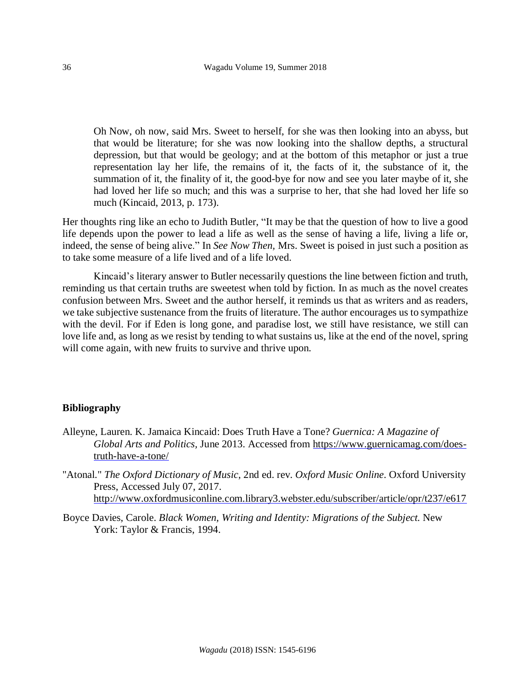Oh Now, oh now, said Mrs. Sweet to herself, for she was then looking into an abyss, but that would be literature; for she was now looking into the shallow depths, a structural depression, but that would be geology; and at the bottom of this metaphor or just a true representation lay her life, the remains of it, the facts of it, the substance of it, the summation of it, the finality of it, the good-bye for now and see you later maybe of it, she had loved her life so much; and this was a surprise to her, that she had loved her life so much (Kincaid, 2013, p. 173).

Her thoughts ring like an echo to Judith Butler, "It may be that the question of how to live a good life depends upon the power to lead a life as well as the sense of having a life, living a life or, indeed, the sense of being alive." In *See Now Then,* Mrs. Sweet is poised in just such a position as to take some measure of a life lived and of a life loved.

Kincaid's literary answer to Butler necessarily questions the line between fiction and truth, reminding us that certain truths are sweetest when told by fiction. In as much as the novel creates confusion between Mrs. Sweet and the author herself, it reminds us that as writers and as readers, we take subjective sustenance from the fruits of literature. The author encourages us to sympathize with the devil. For if Eden is long gone, and paradise lost, we still have resistance, we still can love life and, as long as we resist by tending to what sustains us, like at the end of the novel, spring will come again, with new fruits to survive and thrive upon.

# **Bibliography**

- Alleyne, Lauren. K. Jamaica Kincaid: Does Truth Have a Tone? *Guernica: A Magazine of Global Arts and Politics,* June 2013. Accessed from [https://www.guernicamag.com/does](https://www.guernicamag.com/does-truth-have-a-tone/)[truth-have-a-tone/](https://www.guernicamag.com/does-truth-have-a-tone/)
- "Atonal." *The Oxford Dictionary of Music*, 2nd ed. rev. *Oxford Music Online*. Oxford University Press, Accessed July 07, 2017. <http://www.oxfordmusiconline.com.library3.webster.edu/subscriber/article/opr/t237/e617>
- Boyce Davies, Carole. *Black Women, Writing and Identity: Migrations of the Subject.* New York: Taylor & Francis, 1994.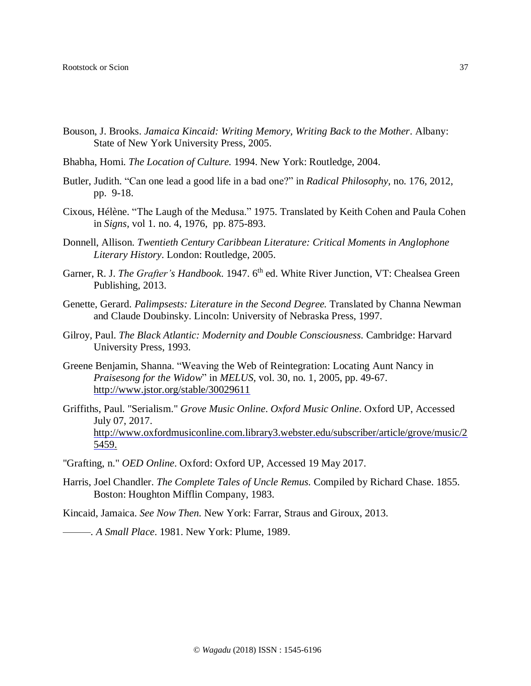- Bouson, J. Brooks. *Jamaica Kincaid: Writing Memory, Writing Back to the Mother*. Albany: State of New York University Press, 2005.
- Bhabha, Homi. *The Location of Culture.* 1994. New York: Routledge, 2004.
- Butler, Judith. "Can one lead a good life in a bad one?" in *Radical Philosophy,* no. 176*,* 2012, pp. 9-18.
- Cixous, Hélène. "The Laugh of the Medusa." 1975. Translated by Keith Cohen and Paula Cohen in *Signs,* vol 1. no. 4, 1976, pp. 875-893.
- Donnell, Allison. *Twentieth Century Caribbean Literature: Critical Moments in Anglophone Literary History*. London: Routledge, 2005.
- Garner, R. J. *The Grafter's Handbook*. 1947. 6<sup>th</sup> ed. White River Junction, VT: Chealsea Green Publishing, 2013.
- Genette, Gerard. *Palimpsests: Literature in the Second Degree.* Translated by Channa Newman and Claude Doubinsky. Lincoln: University of Nebraska Press, 1997.
- Gilroy, Paul. *The Black Atlantic: Modernity and Double Consciousness.* Cambridge: Harvard University Press, 1993.
- Greene Benjamin, Shanna. "Weaving the Web of Reintegration: Locating Aunt Nancy in *Praisesong for the Widow*" in *MELUS,* vol. 30, no. 1, 2005, pp. 49-67. <http://www.jstor.org/stable/30029611>
- Griffiths, Paul. "Serialism." *Grove Music Online*. *Oxford Music Online*. Oxford UP, Accessed July 07, 2017. [http://www.oxfordmusiconline.com.library3.webster.edu/subscriber/article/grove/music/2](http://www.oxfordmusiconline.com.library3.webster.edu/subscriber/article/grove/music/25459) [5459.](http://www.oxfordmusiconline.com.library3.webster.edu/subscriber/article/grove/music/25459)
- "Grafting, n." *OED Online*. Oxford: Oxford UP, Accessed 19 May 2017.
- Harris, Joel Chandler. *The Complete Tales of Uncle Remus.* Compiled by Richard Chase. 1855. Boston: Houghton Mifflin Company, 1983.

Kincaid, Jamaica. *See Now Then.* New York: Farrar, Straus and Giroux, 2013.

*———. A Small Place*. 1981. New York: Plume, 1989.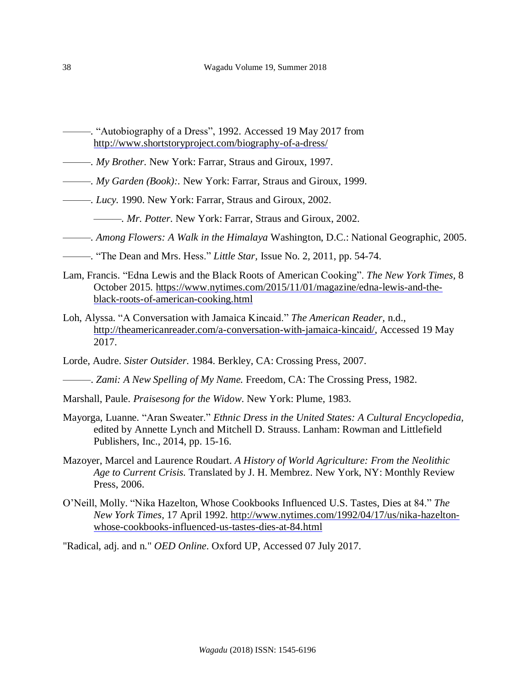- *———.* "Autobiography of a Dress", 1992. Accessed 19 May 2017 from <http://www.shortstoryproject.com/biography-of-a-dress/>
- *———. My Brother.* New York: Farrar, Straus and Giroux, 1997.
- *———. My Garden (Book):.* New York: Farrar, Straus and Giroux, 1999.
- *———. Lucy.* 1990. New York: Farrar, Straus and Giroux, 2002.
	- *———. Mr. Potter.* New York: Farrar, Straus and Giroux, 2002.
- *———. Among Flowers: A Walk in the Himalaya* Washington, D.C.: National Geographic, 2005.
- *———.* "The Dean and Mrs. Hess." *Little Star,* Issue No. 2*,* 2011, pp. 54-74.
- Lam, Francis. "Edna Lewis and the Black Roots of American Cooking". *The New York Times,* 8 October 2015*.* [https://www.nytimes.com/2015/11/01/magazine/edna-lewis-and-the](https://www.nytimes.com/2015/11/01/magazine/edna-lewis-and-the-black-roots-of-american-cooking.html)[black-roots-of-american-cooking.html](https://www.nytimes.com/2015/11/01/magazine/edna-lewis-and-the-black-roots-of-american-cooking.html)
- Loh, Alyssa. "A Conversation with Jamaica Kincaid." *The American Reader,* n.d., [http://theamericanreader.com/a-conversation-with-jamaica-kincaid/,](http://theamericanreader.com/a-conversation-with-jamaica-kincaid/) Accessed 19 May 2017.
- Lorde, Audre. *Sister Outsider.* 1984. Berkley, CA: Crossing Press, 2007.
- *———*. *Zami: A New Spelling of My Name.* Freedom, CA: The Crossing Press, 1982.
- Marshall, Paule. *Praisesong for the Widow*. New York: Plume, 1983.
- Mayorga, Luanne. "Aran Sweater." *Ethnic Dress in the United States: A Cultural Encyclopedia,* edited by Annette Lynch and Mitchell D. Strauss. Lanham: Rowman and Littlefield Publishers, Inc., 2014, pp. 15-16.
- Mazoyer, Marcel and Laurence Roudart. *A History of World Agriculture: From the Neolithic Age to Current Crisis.* Translated by J. H. Membrez. New York, NY: Monthly Review Press, 2006.
- O'Neill, Molly. "Nika Hazelton, Whose Cookbooks Influenced U.S. Tastes, Dies at 84." *The New York Times,* 17 April 1992. [http://www.nytimes.com/1992/04/17/us/nika-hazelton](http://www.nytimes.com/1992/04/17/us/nika-hazelton-whose-cookbooks-influenced-us-tastes-dies-at-84.html)[whose-cookbooks-influenced-us-tastes-dies-at-84.html](http://www.nytimes.com/1992/04/17/us/nika-hazelton-whose-cookbooks-influenced-us-tastes-dies-at-84.html)

"Radical, adj. and n." *OED Online*. Oxford UP, Accessed 07 July 2017.